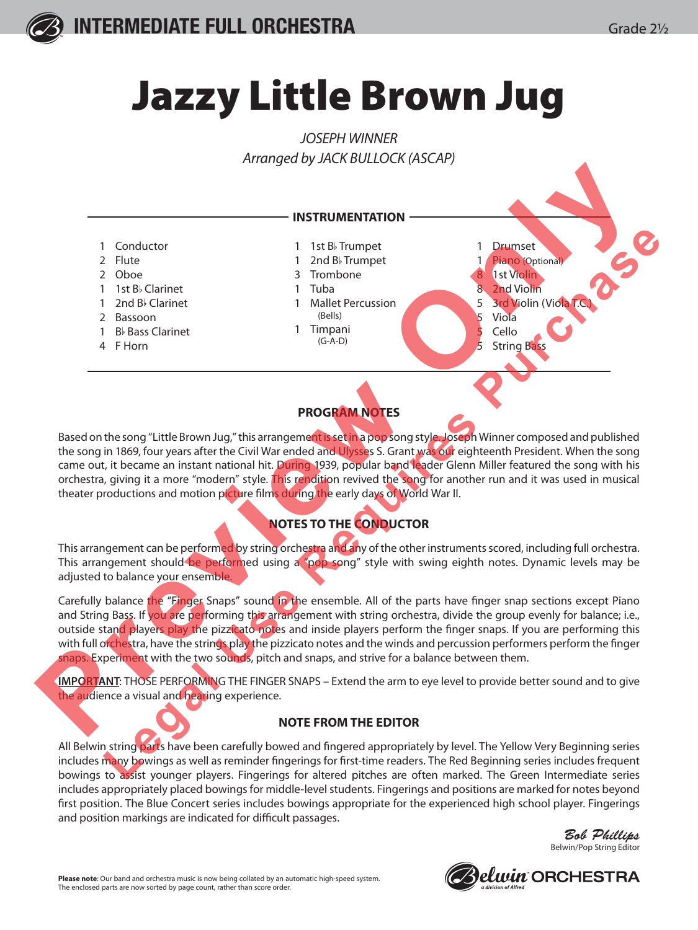

## Jazzy Little Brown Jug

*JOSEPH WINNER Arranged by JACK BULLOCK (ASCAP)*



Based on the song "Little Brown Jug," this arrangement is set in a pop song style. Joseph Winner composed and published the song in 1869, four years after the Civil War ended and Ulysses S. Grant was our eighteenth President. When the song came out, it became an instant national hit. During 1939, popular band leader Glenn Miller featured the song with his orchestra, giving it a more "modern" style. This rendition revived the song for another run and it was used in musical theater productions and motion picture films during the early days of World War II.

## **NOTES TO THE CONDUCTOR**

This arrangement can be performed by string orchestra and any of the other instruments scored, including full orchestra. This arrangement should be performed using a "pop song" style with swing eighth notes. Dynamic levels may be adjusted to balance your ensemble.

Carefully balance the "Finger Snaps" sound in the ensemble. All of the parts have finger snap sections except Piano and String Bass. If you are performing this arrangement with string orchestra, divide the group evenly for balance; i.e., outside stand players play the pizzicato notes and inside players perform the finger snaps. If you are performing this with full orchestra, have the strings play the pizzicato notes and the winds and percussion performers perform the finger shaps. Experiment with the two sounds, pitch and snaps, and strive for a balance between them.

**IMPORTANT**: THOSE PERFORMING THE FINGER SNAPS – Extend the arm to eye level to provide better sound and to give the audience a visual and hearing experience.

## **NOTE FROM THE EDITOR**

All Belwin string parts have been carefully bowed and fingered appropriately by level. The Yellow Very Beginning series includes many bowings as well as reminder fingerings for first-time readers. The Red Beginning series includes frequent bowings to assist younger players. Fingerings for altered pitches are often marked. The Green Intermediate series includes appropriately placed bowings for middle-level students. Fingerings and positions are marked for notes beyond first position. The Blue Concert series includes bowings appropriate for the experienced high school player. Fingerings and position markings are indicated for difficult passages.

> *Bob Phillips* Belwin/Pop String Editor

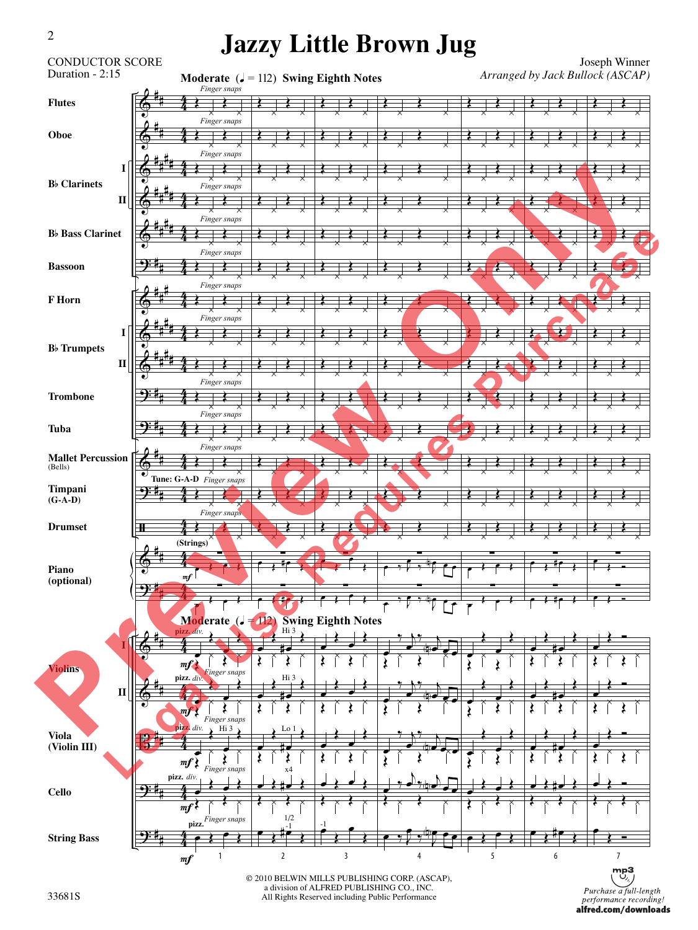<sup>2</sup> **Jazzy Little Brown Jug** CONDUCTOR SCORE Joseph Winner Duration - 2:15 *Arranged by Jack Bullock (ASCAP)* **Moderate**  $(1 = 112)$  **Swing Eighth Notes** *Finger snaps* # 4 # Œ Œ Œ Œ Œ Œ Œ Œ Œ Œ Œ Œ Œ Œ **Flutes**  $\bm{\phi}$ 4 ¿ ¿ *Finger snaps* ¿ ¿ ¿ ¿ ¿ ¿ )<br>又 ¿ ¿ ¿ ¿ ¿ # 4 # Œ Œ Œ Œ Œ Œ Œ Œ Œ Œ Œ Œ Œ **Oboe**  $\bm{\Phi}$ 4 Œ  $\overrightarrow{x}$   $\overrightarrow{x}$ <br>Finger snaps ¿ ¿ ¿ ¿ ¿ ¿ ¿ ¿ ¿ ¿ ¿ ¿ # # # 4 # Œ Œ Œ Œ Œ Œ Œ Œ Œ Œ Œ Œ Œ Œ **Preview**  $\frac{2^{n+1} \cdot 2^{n+2}}{2^{n+1} \cdot 2^{n+2}}$ **<br>
<b>Preview Only**  $\frac{2^{n+1} \cdot 2^{n+2}}{2^{n+1} \cdot 2^{n+2}}$ **<br>
<b>Preview Only**  $\frac{2^{n+1} \cdot 2^{n+2}}{2^{n+1} \cdot 2^{n+2}}$ <br> **Preview Only**  $\frac{2^{n+1} \cdot 2^{n+2}}{2^{n+1} \cdot 2^{n+2}}$ <br> **Preview Only \**  $\Phi$ 4 **I**  $\overrightarrow{x}$   $\overrightarrow{x}$ <br>Finger snaps ¿ ¿ ¿ ¿ ¿ ¿ ¿ ¿ ¿ ¿ ¿ ¿ **B**b **Clarinets** # # # 4 # Œ Œ Œ Œ Œ Œ Œ Œ Œ Œ Œ Œ Œ Œ **II**  $\Phi$ 4  $\overrightarrow{x}$   $\overrightarrow{y}$ <br>*Finger snaps* ¿ ¿ ¿ ¿ ¿ ¿ ¿ ¿ ¿ ¿ ¿ ¿ # # # 4 # Œ Œ Œ Œ Œ Œ Œ Œ Œ Œ Œ Œ Œ Œ **Legal Use Requires PurchaseB**b **Bass Clarinet**  $\Phi$ 4 ¿ ¿ *Finger snaps* ¿ ¿ ¿ ¿ ¿ ¿ ¿ ¿ ¿ ¿ ¿ ×<br>× <u>.</u> # 4 Œ Œ Œ Œ Œ Œ Œ Œ Œ Œ Œ Œ Œ # **Bassoon** 4 Œ  $\overrightarrow{x}$   $\overrightarrow{y}$ <br>Finger snaps ¿ ¿ ¿ ¿ ¿ ¿ ×<br>× ¿ ¿ ¿ ¿ ¿ # # 4 # Œ Œ Œ Œ Œ Œ Œ Œ Œ Œ Œ Œ Œ Œ **F Horn**  $\bm{\phi}$ 4  $\overrightarrow{x}$   $\overrightarrow{y}$ <br>*Finger snaps* ¿ ¿ ¿ ¿ ¿ ¿ ¿ ¿ ¿ ¿ ¿ ¿ # # # 4 # Œ Œ Œ Œ Œ Œ Œ Œ Œ Œ Œ Œ Œ Œ **I**  $\bm{\phi}$ 4 ¿ ¿ ¿ ¿ ¿ ¿ ¿ ¿ ¿ ¿ ¿ ¿ ¿ ¿ **B**b **Trumpets** # # # 4 # Œ Œ Œ Œ Œ Œ Œ Œ Œ Œ Œ Œ Œ Œ **II**  $\bm{\phi}$ 4  $\overrightarrow{x}$   $\overrightarrow{y}$ <br>Finger snaps ¿ ¿ ¿ ¿ ¿ ¿ ¿ ¿ ¿ ¿ ¿ ¿ <u>.</u> # 4 Œ Œ Œ Œ Œ Œ Œ Œ Œ Œ Œ Œ Œ # **Trombone** Œ 4  $\overrightarrow{x}$   $\overrightarrow{y}$ <br>*Finger snaps* ¿ ¿ ¿ ¿ ¿ ¿ ¿ ¿ ¿ ¿ ¿ ¿ <u>.</u> # 4 Œ Œ Œ Œ Œ Œ Œ Œ Œ Œ Œ Œ Œ **Tuba** # 4 Œ  $\overrightarrow{x}$   $\overrightarrow{y}$ <br>*Finger snaps* ¿ ¿ ¿ ×<br>× ¿ ¿ ¿ ¿ ¿ ¿ ¿ ¿ # 4 # Œ Œ Œ Œ Œ Œ Œ Œ Œ Œ Œ Œ Œ Œ **Mallet Percussion** &  $rac{4}{4}$ (Bells)  $\frac{1}{2}$  **f**  $\frac{1}{2}$  **f**  $\frac{1}{2}$  **f**  $\frac{1}{2}$  **f**  $\frac{1}{2}$  **f**  $\frac{1}{2}$  **f**  $\frac{1}{2}$  **f**  $\frac{1}{2}$  **f**  $\frac{1}{2}$  **f**  $\frac{1}{2}$  **f**  $\frac{1}{2}$  **f**  $\frac{1}{2}$  **f**  $\frac{1}{2}$  **f**  $\frac{1}{2}$  **f**  $\frac{1}{2}$  **f**  $\frac{1}{2}$  )<br>X ¿ ¿ ¿ ₹<br>∠ ¿ ¿ ¿ ¿ ¿ ¿ ¿  $9:1$ 4 **Timpani** Œ Œ Œ Œ Œ Œ Œ Œ Œ Œ Œ Œ Œ # Œ 4 **(G-A-D)** ¿ ¿ *Finger snaps* ¿ ¿ ¿ ¿ ¿ ¿ ¿ ¿ ¿ ¿ ¿ ¿ 4 Œ Œ Œ Œ Œ Œ Œ Œ Œ Œ Œ Œ Œ **Drumset**  $\bf{H}$  $rac{4}{4}$ ⊀ ¿ ¿ ¿ ¿ ¿ ¿ ¿ ¿ ¿ ¿ ¿ ¿ ¿ ¿ **(Strings)** # 4 ∑  $\frac{1}{\sqrt{1-\frac{1}{2}}}$ <sup>∑</sup> <sup>œ</sup> <sup>Œ</sup> <sup>œ</sup> <sup>Œ</sup> ————<br><del>∈ ? / ?</del> ∑ <sup>∑</sup> <sup>œ</sup> <sup>Œ</sup> œ# <sup>Œ</sup> <sup>∑</sup> <sup>œ</sup> Œ Ó #  $\Phi$ 4  $\mathcal{P} \rightarrow \mathbb{P}$  $^{\oplus}$  equal contact  $^{\oplus}$  $\overline{a}$  $\overline{e}$ **Piano** 4 F **(optional)** # ∑ —<br>∈ ∉ # ∉ # ≥<br><del>⊆ </del> ∑ ∑ ∑ ∑ ∑ —<br><del>— ∑ ∭ </del><br><del>? { ∦ </del> } —<br><del>∘ ∤ −</del> <u>. .</u> #  $\frac{4}{4}$  $\overline{\mathfrak{p}}$  ,  $\overline{\mathfrak{p}}$  $e$   $\uparrow$   $e$  $\overline{\phantom{a}}$  ,  $\overline{\phantom{a}}$  $^{\oplus}$  equal control.  $\overrightarrow{e}$ **Moderate (J=112)** Swing Eighth Notes **pizz.** Hi 3 # *div.*  $\frac{1}{x}$ E Œ  $\frac{1}{2}$  $\rightarrow$  $\frac{1}{\sqrt{2}}$  $\frac{1}{x}$  $\frac{1}{\sqrt{2}}$ Œ  $\frac{1}{\sqrt{2}}$ 4 # **I**  $\bm{\bm{\phi}}$ 4 œ# œN <sup>œ</sup> <sup>œ</sup> <sup>Œ</sup> ¿ <sup>Œ</sup> ¿ œ# œ œ Œ ¿ Œ ¿  $\frac{1}{2}$   $\frac{1}{2}$   $\frac{1}{2}$   $\frac{1}{2}$ œ <br>K \_<br>K Œ ¿ Œ ¿ Œ ¿ Œ ¿  $\lambda$  $mf$ Œ Œ **Violins** *Finger snaps* Hi 3 4 **pizz.** *div.* #  $\frac{1}{x}$  $\frac{1}{\sqrt{2}}$ Œ  $\frac{1}{\sqrt{2}}$  $^{\prime}$  $\frac{1}{\phi}$  $\frac{1}{x}$  $\frac{1}{\sqrt{2}}$ Œ  $\begin{array}{c} \hline \end{array}$ # **II**  $\Phi$ 4 œ# œN <sup>œ</sup> <sup>œ</sup> <sup>Œ</sup> ¿ <sup>Œ</sup> ¿ œ# œ œ Œ ¿ Œ ¿  $\begin{array}{c} \bullet \ \hline \bullet \end{array}$ œ  $\overline{\mathbf{r}^{\bullet}}$ Œ ¿ Œ ¿ Œ ¿ Œ ¿  $\zeta$  $mf$ Œ *Finger snaps*  $Hi$  3 4 **pizz.** *div.* Œ Œ  $\frac{1}{\sqrt{2}}$ Lo 1 Œ  $\frac{1}{\sqrt{2}}$  $^{\frac{2}{1}}$  $\frac{2}{\sqrt{2}}$ Œ Œ  $\frac{1}{\sqrt{2}}$ Œ  $\frac{\lambda}{\lambda}$ # **Viola** B #  $\frac{4}{4}$ œ œ#  $\begin{pmatrix} 1 & 1 \\ 0 & 1 \end{pmatrix}$ œ# **← ←** œ **(Violin III)** ▅<del>▏⋌</del>⋕<del>┙</del><br>▓▕▕░  $\frac{1}{2}$ œ <del>▔▔</del><br>▔▔<del>゙</del>゙゙゙゙゙゙゙゙゙゚  $\overline{\mathbf{r}^{\bullet}}$ ▅<del>▏⋌</del>⋕⋹▏⋌<br>▓▕▕▕▓  $\overline{\mathbf{r} \times \mathbf{r}}$ œ œ  $m f$   $\zeta$ Œ *Finger snaps* x4  $\frac{1}{2}$  $\Delta_{7(p)}$ 4 **pizz.** *div.* œ Œ œ Œ  $\begin{array}{c} \begin{array}{c} \hline \hline \hline \hline \end{array} \end{array}$  $\rightarrow$   $\rightarrow$   $\rightarrow$  $\begin{array}{c|c|c|c|c} \hline \star & \star & \star \\ \hline \end{array}$  $\frac{1}{2}$ œŒÓ œN <sup>œ</sup> <sup>œ</sup> <sup>Œ</sup> ¿ <sup>Œ</sup> ¿ ? # # **Cello** 4 <u>देर रे</u>र् Œ ¿ Œ ¿ <u>१ ४ ४</u> ४<br>४ ४ ४ <u>रे रे र</u>ू<br>व <u>रू रे ठ</u>ू <u>४ ४ ४</u> ४<br>४ ४ ४  $m f$  $1/2$ *Finger snaps* **pizz.**  $\overrightarrow{e}$ -1 -1  $9 \rightarrow$  $\longrightarrow \frac{\sharp^1}{\sharp^2}$  $\neg$  $e$   $\leftrightarrow$   $\leftrightarrow$ <u>.</u> # 4  $e$   $e$   $e$   $e$  $e \leftrightarrow e$  $\overline{\phantom{a}}$   $\overline{\phantom{a}}$   $\overline{\phantom{a}}$ # **String Bass** 4 4 5 2 3 6 7 1  $m f$  $\begin{pmatrix} \mathbf{u}_1 \\ \mathbf{v}_2 \end{pmatrix}$ © 2010 BELWIN MILLS PUBLISHING CORP. (ASCAP), Purchase a full-length<br>!performance recording a division of ALFRED PUBLISHING CO., INC. All Rights Reserved including Public Performance

alfred.com/downloads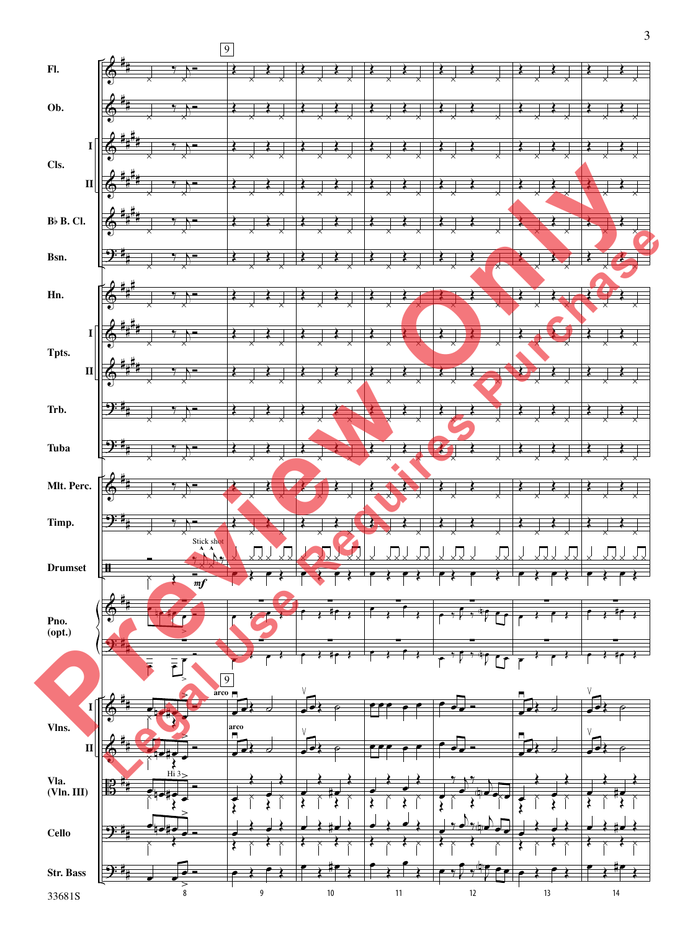

 $\overline{3}$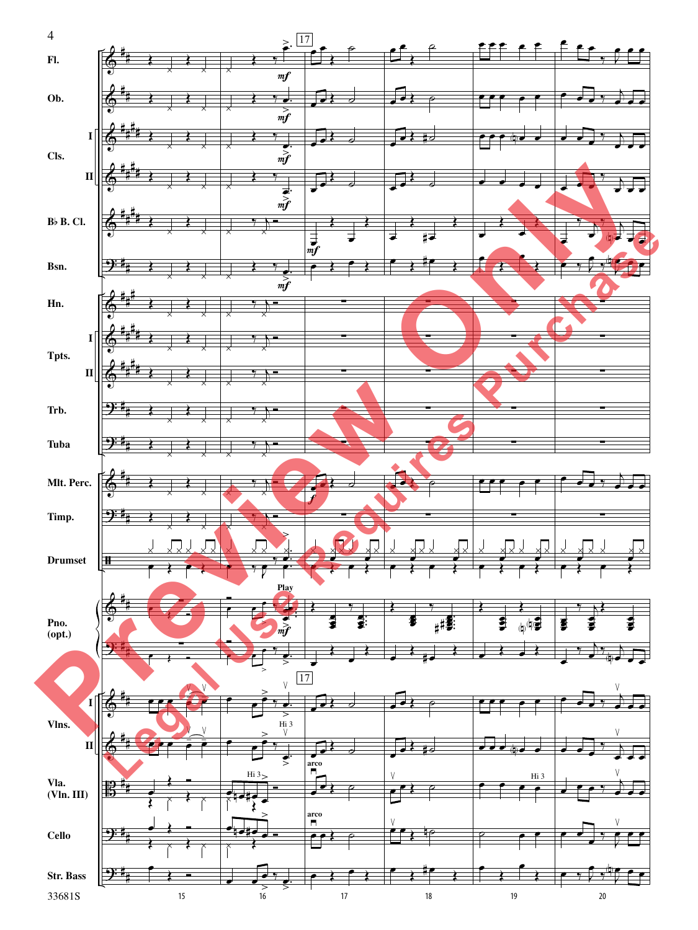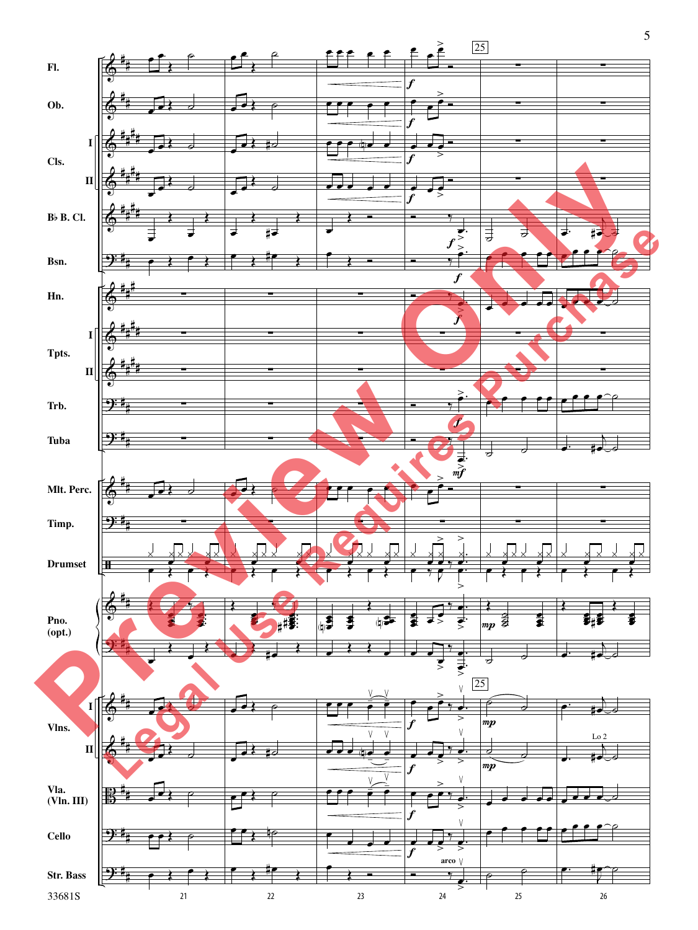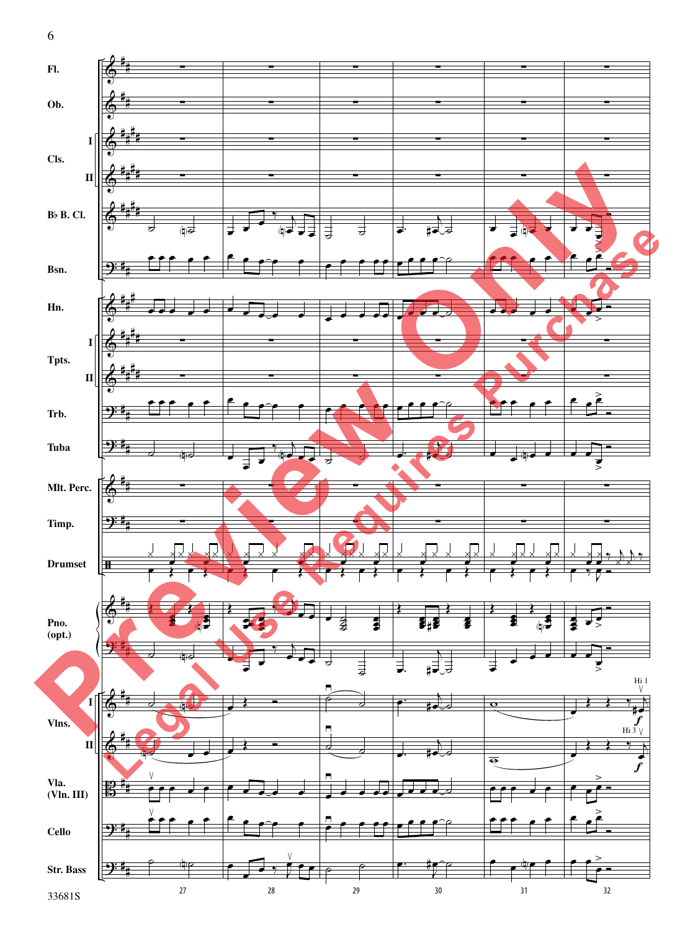

6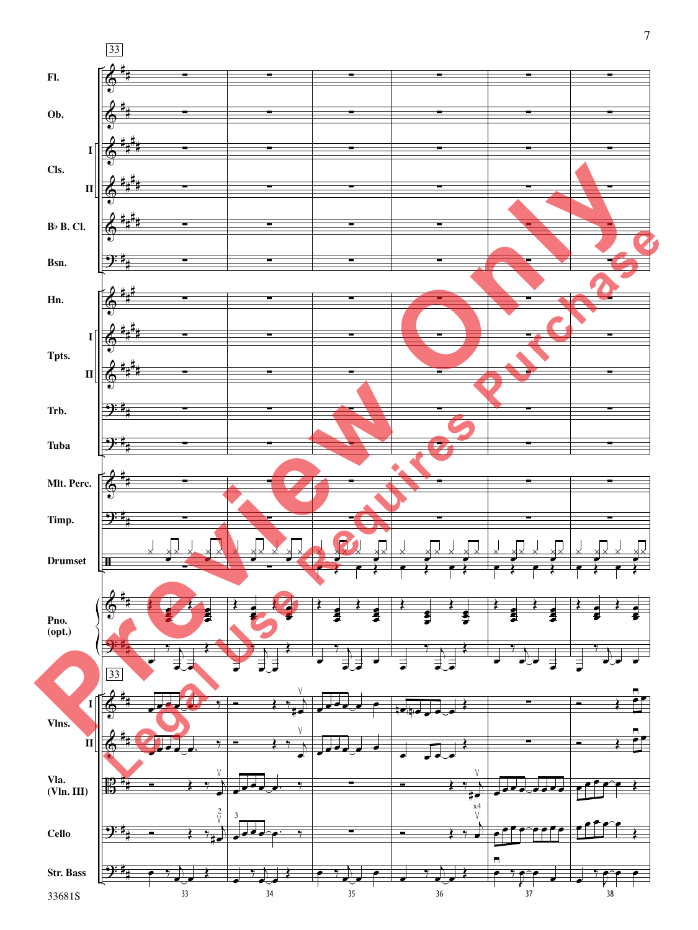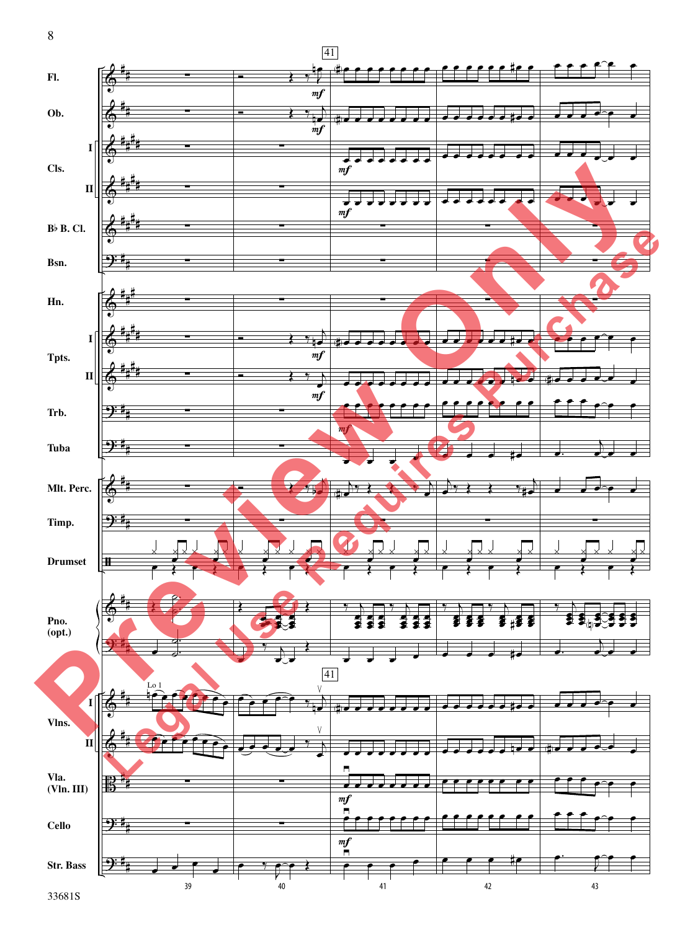

33681S

8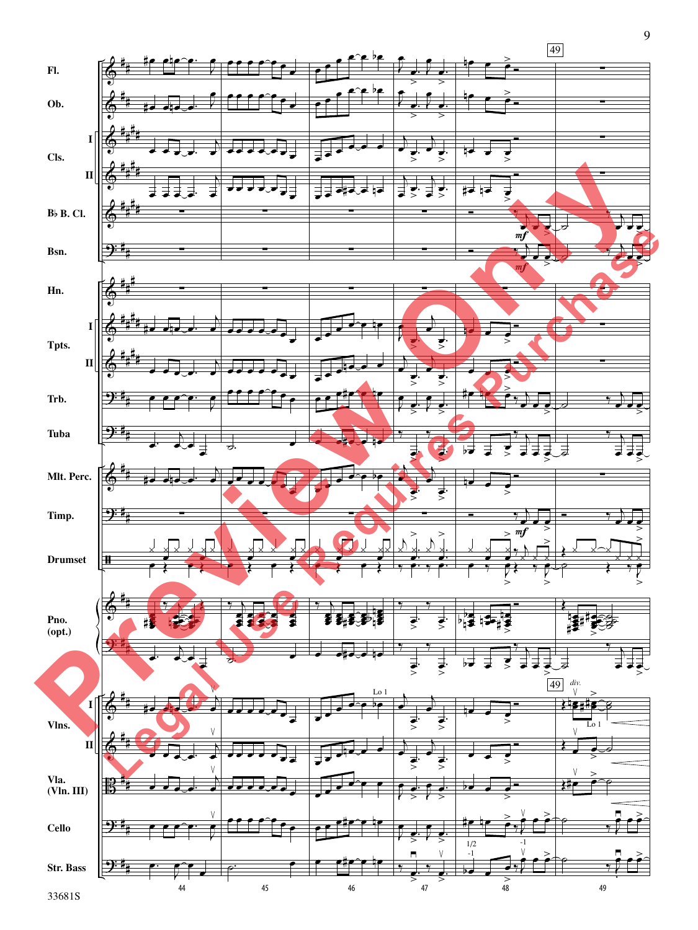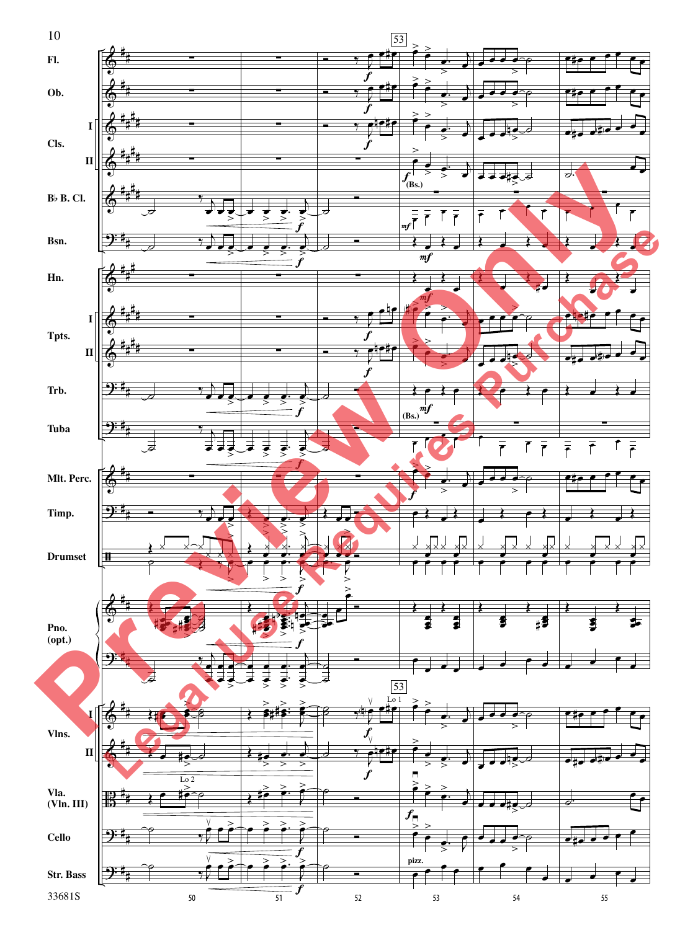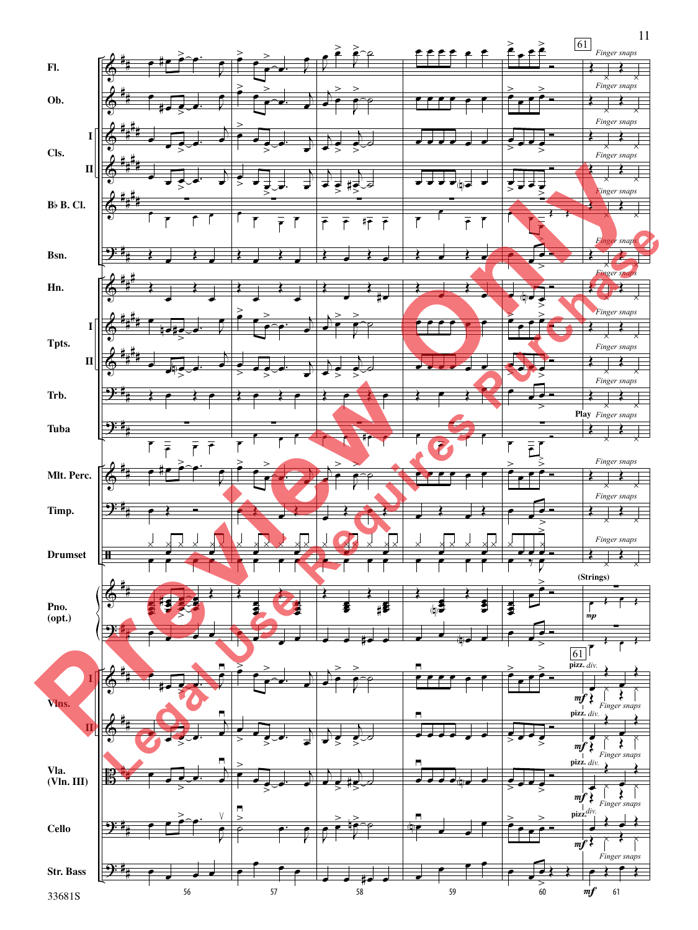

33681S